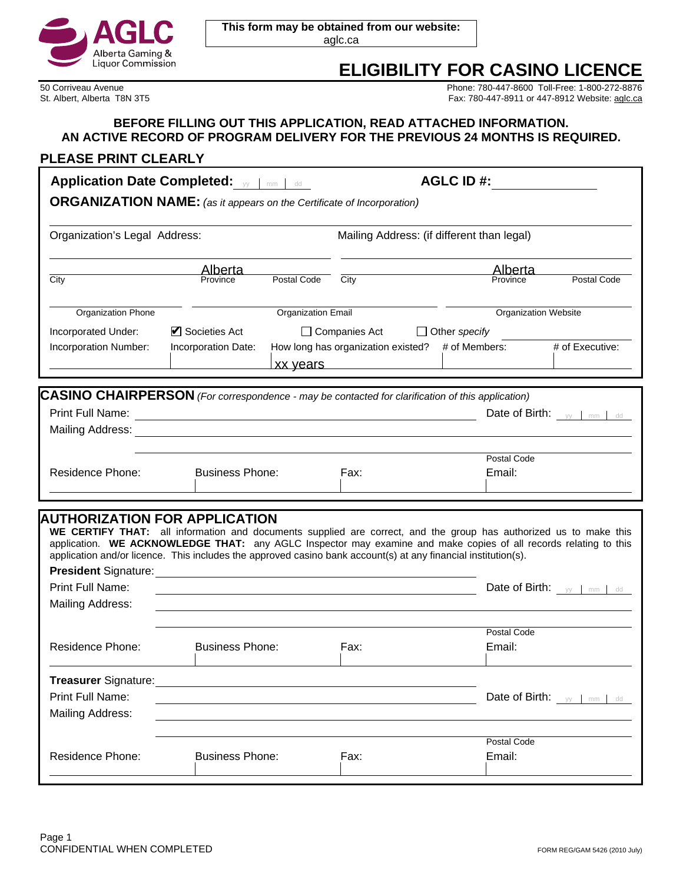

**This form may be obtained from our website:**  aglc.ca

# **ELIGIBILITY FOR CASINO LICENCE**

50 Corriveau Avenue Phone: 780-447-8600 Toll-Free: 1-800-272-8876 Fax: 780-447-8911 or 447-8912 Website: aglc.ca

### **BEFORE FILLING OUT THIS APPLICATION, READ ATTACHED INFORMATION. AN ACTIVE RECORD OF PROGRAM DELIVERY FOR THE PREVIOUS 24 MONTHS IS REQUIRED.**

# **PLEASE PRINT CLEARLY**

| <b>Application Date Completed:</b> yy   mm   dd                                                                                                                                                                                                                                                                                                                                                                                         |                                                          |                           | <b>AGLC ID#:</b>                                                                                                       |                             |                                     |
|-----------------------------------------------------------------------------------------------------------------------------------------------------------------------------------------------------------------------------------------------------------------------------------------------------------------------------------------------------------------------------------------------------------------------------------------|----------------------------------------------------------|---------------------------|------------------------------------------------------------------------------------------------------------------------|-----------------------------|-------------------------------------|
| <b>ORGANIZATION NAME:</b> (as it appears on the Certificate of Incorporation)                                                                                                                                                                                                                                                                                                                                                           |                                                          |                           |                                                                                                                        |                             |                                     |
| Organization's Legal Address:                                                                                                                                                                                                                                                                                                                                                                                                           |                                                          |                           | Mailing Address: (if different than legal)                                                                             |                             |                                     |
| City                                                                                                                                                                                                                                                                                                                                                                                                                                    | Alberta<br>Province                                      | Postal Code               | City                                                                                                                   | Alberta<br>Province         | Postal Code                         |
| <b>Organization Phone</b>                                                                                                                                                                                                                                                                                                                                                                                                               |                                                          | <b>Organization Email</b> |                                                                                                                        | <b>Organization Website</b> |                                     |
| Incorporated Under:                                                                                                                                                                                                                                                                                                                                                                                                                     | Societies Act<br>□ Companies Act<br>$\Box$ Other specify |                           |                                                                                                                        |                             |                                     |
| Incorporation Number:                                                                                                                                                                                                                                                                                                                                                                                                                   | Incorporation Date:                                      |                           | How long has organization existed? # of Members:<br>xx years                                                           |                             | # of Executive:                     |
|                                                                                                                                                                                                                                                                                                                                                                                                                                         |                                                          |                           |                                                                                                                        |                             |                                     |
| <b>CASINO CHAIRPERSON</b> (For correspondence - may be contacted for clarification of this application)<br>Print Full Name:                                                                                                                                                                                                                                                                                                             |                                                          |                           |                                                                                                                        |                             | Date of Birth: $_{yy}$   mm   dd    |
|                                                                                                                                                                                                                                                                                                                                                                                                                                         |                                                          |                           |                                                                                                                        |                             |                                     |
|                                                                                                                                                                                                                                                                                                                                                                                                                                         |                                                          |                           |                                                                                                                        |                             |                                     |
|                                                                                                                                                                                                                                                                                                                                                                                                                                         |                                                          |                           |                                                                                                                        | Postal Code                 |                                     |
| Residence Phone:                                                                                                                                                                                                                                                                                                                                                                                                                        | <b>Business Phone:</b>                                   |                           | Fax:                                                                                                                   | Email:                      |                                     |
|                                                                                                                                                                                                                                                                                                                                                                                                                                         |                                                          |                           |                                                                                                                        |                             |                                     |
| AUTHORIZATION FOR APPLICATION<br>WE CERTIFY THAT: all information and documents supplied are correct, and the group has authorized us to make this<br>application. WE ACKNOWLEDGE THAT: any AGLC Inspector may examine and make copies of all records relating to this<br>application and/or licence. This includes the approved casino bank account(s) at any financial institution(s).<br>Print Full Name:<br><b>Mailing Address:</b> |                                                          |                           | <u> 1989 - Johann Stoff, deutscher Stoffen und der Stoffen und der Stoffen und der Stoffen und der Stoffen und der</u> |                             | Date of Birth: $_{\text{yy}}$ mm dd |
|                                                                                                                                                                                                                                                                                                                                                                                                                                         |                                                          |                           |                                                                                                                        | Postal Code                 |                                     |
| <b>Residence Phone:</b>                                                                                                                                                                                                                                                                                                                                                                                                                 | <b>Business Phone:</b>                                   |                           | Fax:                                                                                                                   | Email:                      |                                     |
| <b>Treasurer Signature:</b>                                                                                                                                                                                                                                                                                                                                                                                                             |                                                          |                           |                                                                                                                        |                             |                                     |
| Print Full Name:<br>Mailing Address:                                                                                                                                                                                                                                                                                                                                                                                                    |                                                          |                           |                                                                                                                        | Date of Birth:              | yy mm<br>dd                         |
|                                                                                                                                                                                                                                                                                                                                                                                                                                         |                                                          |                           |                                                                                                                        |                             |                                     |
| <b>Residence Phone:</b>                                                                                                                                                                                                                                                                                                                                                                                                                 | <b>Business Phone:</b>                                   |                           | Fax:                                                                                                                   | Postal Code<br>Email:       |                                     |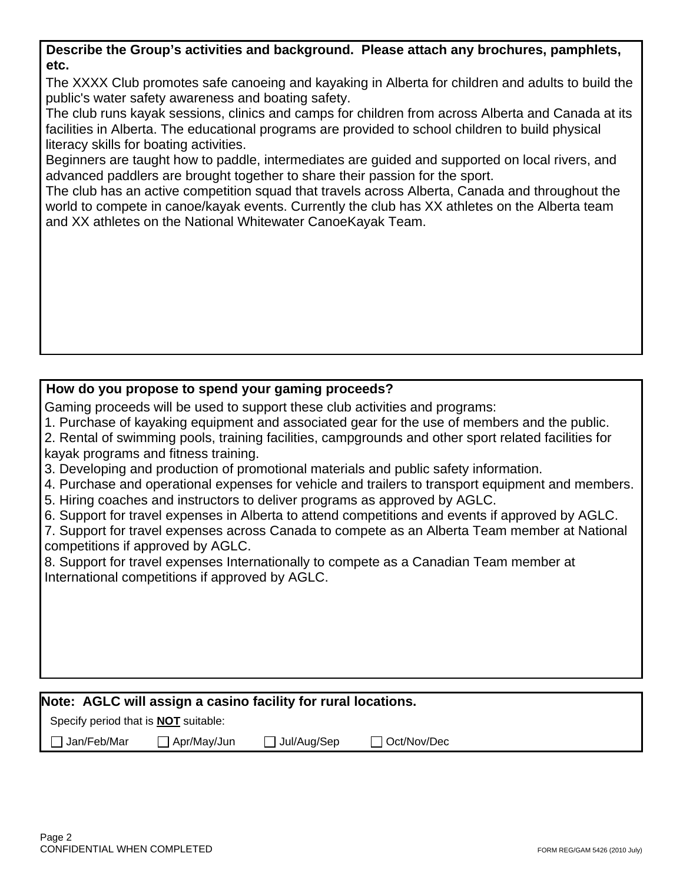| Describe the Group's activities and background. Please attach any brochures, pamphlets, |  |
|-----------------------------------------------------------------------------------------|--|
| etc.                                                                                    |  |

 The XXXX Club promotes safe canoeing and kayaking in Alberta for children and adults to build the public's water safety awareness and boating safety.

The club runs kayak sessions, clinics and camps for children from across Alberta and Canada at its facilities in Alberta. The educational programs are provided to school children to build physical literacy skills for boating activities.

Beginners are taught how to paddle, intermediates are guided and supported on local rivers, and advanced paddlers are brought together to share their passion for the sport.

The club has an active competition squad that travels across Alberta, Canada and throughout the world to compete in canoe/kayak events. Currently the club has XX athletes on the Alberta team and XX athletes on the National Whitewater CanoeKayak Team.

# **How do you propose to spend your gaming proceeds?**

Gaming proceeds will be used to support these club activities and programs:

1. Purchase of kayaking equipment and associated gear for the use of members and the public.

2. Rental of swimming pools, training facilities, campgrounds and other sport related facilities for kayak programs and fitness training.

- 3. Developing and production of promotional materials and public safety information.
- 4. Purchase and operational expenses for vehicle and trailers to transport equipment and members.
- 5. Hiring coaches and instructors to deliver programs as approved by AGLC.
- 6. Support for travel expenses in Alberta to attend competitions and events if approved by AGLC.

7. Support for travel expenses across Canada to compete as an Alberta Team member at National competitions if approved by AGLC.

8. Support for travel expenses Internationally to compete as a Canadian Team member at International competitions if approved by AGLC.

# **Note: AGLC will assign a casino facility for rural locations.**

Specify period that is **NOT** suitable:

Jan/Feb/Mar Apr/May/Jun Jul/Aug/Sep Oct/Nov/Dec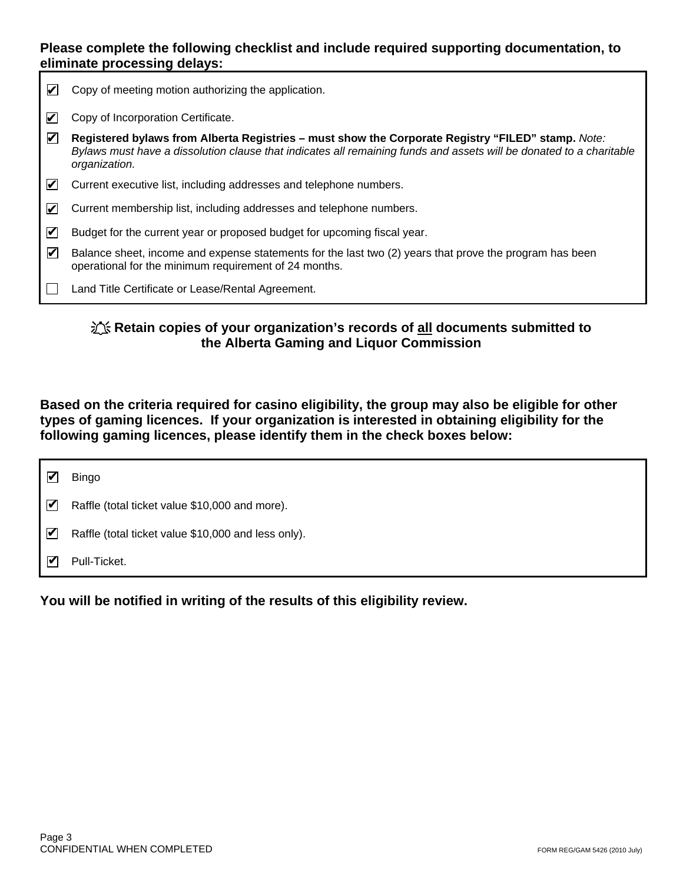### **Please complete the following checklist and include required supporting documentation, to eliminate processing delays:**

| V                    | Copy of meeting motion authorizing the application.                                                                                                                                                                                       |
|----------------------|-------------------------------------------------------------------------------------------------------------------------------------------------------------------------------------------------------------------------------------------|
| И                    | Copy of Incorporation Certificate.                                                                                                                                                                                                        |
| $\blacktriangledown$ | Registered bylaws from Alberta Registries – must show the Corporate Registry "FILED" stamp. Note:<br>Bylaws must have a dissolution clause that indicates all remaining funds and assets will be donated to a charitable<br>organization. |
| И                    | Current executive list, including addresses and telephone numbers.                                                                                                                                                                        |
| M                    | Current membership list, including addresses and telephone numbers.                                                                                                                                                                       |
| M                    | Budget for the current year or proposed budget for upcoming fiscal year.                                                                                                                                                                  |
| V                    | Balance sheet, income and expense statements for the last two (2) years that prove the program has been<br>operational for the minimum requirement of 24 months.                                                                          |
|                      | Land Title Certificate or Lease/Rental Agreement.                                                                                                                                                                                         |

## $\frac{1}{2}$  **<b>K** Retain copies of your organization's records of all documents submitted to **the Alberta Gaming and Liquor Commission**

**Based on the criteria required for casino eligibility, the group may also be eligible for other types of gaming licences. If your organization is interested in obtaining eligibility for the following gaming licences, please identify them in the check boxes below:** 

|                              | <b>Bingo</b>                                        |
|------------------------------|-----------------------------------------------------|
| $\boldsymbol{\triangledown}$ | Raffle (total ticket value \$10,000 and more).      |
| ☑                            | Raffle (total ticket value \$10,000 and less only). |
| $\blacktriangledown$         | Pull-Ticket.                                        |

**You will be notified in writing of the results of this eligibility review.**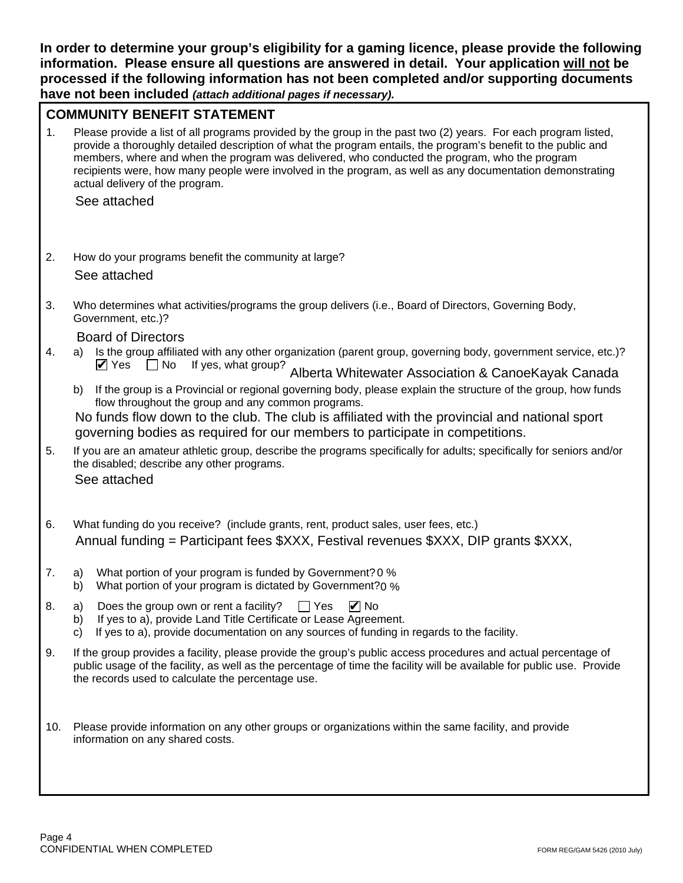**In order to determine your group's eligibility for a gaming licence, please provide the following information. Please ensure all questions are answered in detail. Your application will not be processed if the following information has not been completed and/or supporting documents have not been included** *(attach additional pages if necessary).*

## **COMMUNITY BENEFIT STATEMENT**

1. Please provide a list of all programs provided by the group in the past two (2) years. For each program listed, provide a thoroughly detailed description of what the program entails, the program's benefit to the public and members, where and when the program was delivered, who conducted the program, who the program recipients were, how many people were involved in the program, as well as any documentation demonstrating actual delivery of the program.

See attached

2. How do your programs benefit the community at large?

See attached

3. Who determines what activities/programs the group delivers (i.e., Board of Directors, Governing Body, Government, etc.)?

Board of Directors

- 4. a) Is the group affiliated with any other organization (parent group, governing body, government service, etc.)?  $\triangledown$  Yes  $\Box$  No If yes, what group? Alberta Whitewater Association & CanoeKayak Canada
	- b) If the group is a Provincial or regional governing body, please explain the structure of the group, how funds flow throughout the group and any common programs.

No funds flow down to the club. The club is affiliated with the provincial and national sport governing bodies as required for our members to participate in competitions.

- 5. If you are an amateur athletic group, describe the programs specifically for adults; specifically for seniors and/or the disabled; describe any other programs. See attached
- 6. What funding do you receive? (include grants, rent, product sales, user fees, etc.) Annual funding = Participant fees \$XXX, Festival revenues \$XXX, DIP grants \$XXX,
- 7. a) What portion of your program is funded by Government? 0 %
- b) What portion of your program is dictated by Government? $0\%$
- 8. a) Does the group own or rent a facility?  $\Box$  Yes **Ø** No
	- b) If yes to a), provide Land Title Certificate or Lease Agreement.
	- c) If yes to a), provide documentation on any sources of funding in regards to the facility.
- 9. If the group provides a facility, please provide the group's public access procedures and actual percentage of public usage of the facility, as well as the percentage of time the facility will be available for public use. Provide the records used to calculate the percentage use.
- 10. Please provide information on any other groups or organizations within the same facility, and provide information on any shared costs.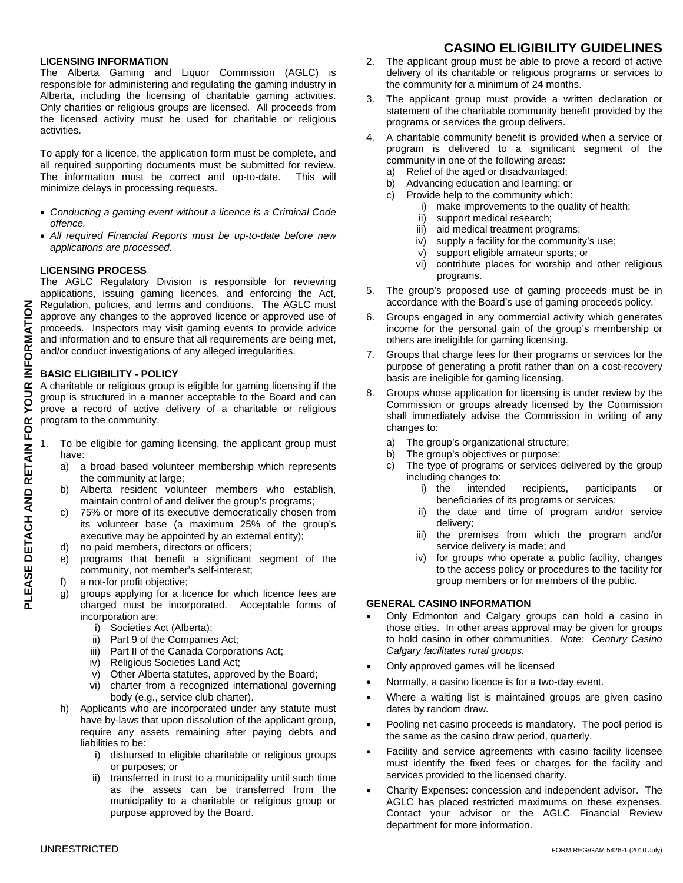### **LICENSING INFORMATION**

The Alberta Gaming and Liquor Commission (AGLC) is responsible for administering and regulating the gaming industry in Alberta, including the licensing of charitable gaming activities. Only charities or religious groups are licensed. All proceeds from the licensed activity must be used for charitable or religious activities.

To apply for a licence, the application form must be complete, and all required supporting documents must be submitted for review. The information must be correct and up-to-date. This will minimize delays in processing requests.

- *Conducting a gaming event without a licence is a Criminal Code offence.*
- *All required Financial Reports must be up-to-date before new applications are processed.*

### **LICENSING PROCESS**

The AGLC Regulatory Division is responsible for reviewing applications, issuing gaming licences, and enforcing the Act, Regulation, policies, and terms and conditions. The AGLC must approve any changes to the approved licence or approved use of proceeds. Inspectors may visit gaming events to provide advice and information and to ensure that all requirements are being met, and/or conduct investigations of any alleged irregularities.

### **BASIC ELIGIBILITY - POLICY**

A charitable or religious group is eligible for gaming licensing if the group is structured in a manner acceptable to the Board and can prove a record of active delivery of a charitable or religious program to the community.

- To be eligible for gaming licensing, the applicant group must have:
	- a) a broad based volunteer membership which represents the community at large;
	- b) Alberta resident volunteer members who establish, maintain control of and deliver the group's programs;
	- c) 75% or more of its executive democratically chosen from its volunteer base (a maximum 25% of the group's executive may be appointed by an external entity);
	- d) no paid members, directors or officers;
	- e) programs that benefit a significant segment of the community, not member's self-interest;
	- f) a not-for profit objective;
	- g) groups applying for a licence for which licence fees are charged must be incorporated. Acceptable forms of incorporation are:
		- i) Societies Act (Alberta);
		- ii) Part 9 of the Companies Act;
		- iii) Part II of the Canada Corporations Act;
		- iv) Religious Societies Land Act;
		- v) Other Alberta statutes, approved by the Board;
		- vi) charter from a recognized international governing body (e.g., service club charter).
	- h) Applicants who are incorporated under any statute must have by-laws that upon dissolution of the applicant group, require any assets remaining after paying debts and liabilities to be:
		- i) disbursed to eligible charitable or religious groups or purposes; or
		- ii) transferred in trust to a municipality until such time as the assets can be transferred from the municipality to a charitable or religious group or purpose approved by the Board.

## **CASINO ELIGIBILITY GUIDELINES**

- 2. The applicant group must be able to prove a record of active delivery of its charitable or religious programs or services to the community for a minimum of 24 months.
- 3. The applicant group must provide a written declaration or statement of the charitable community benefit provided by the programs or services the group delivers.
- 4. A charitable community benefit is provided when a service or program is delivered to a significant segment of the community in one of the following areas:
	- a) Relief of the aged or disadvantaged;
	- b) Advancing education and learning; or
	- c) Provide help to the community which:
		- i) make improvements to the quality of health;
		- ii) support medical research;
		- iii) aid medical treatment programs;
		- iv) supply a facility for the community's use;
		- v) support eligible amateur sports; or
		- vi) contribute places for worship and other religious programs.
- 5. The group's proposed use of gaming proceeds must be in accordance with the Board's use of gaming proceeds policy.
- 6. Groups engaged in any commercial activity which generates income for the personal gain of the group's membership or others are ineligible for gaming licensing.
- 7. Groups that charge fees for their programs or services for the purpose of generating a profit rather than on a cost-recovery basis are ineligible for gaming licensing.
- 8. Groups whose application for licensing is under review by the Commission or groups already licensed by the Commission shall immediately advise the Commission in writing of any changes to:
	- a) The group's organizational structure;
	- b) The group's objectives or purpose;
	- c) The type of programs or services delivered by the group including changes to:
		- i) the intended recipients, participants or beneficiaries of its programs or services;
		- ii) the date and time of program and/or service delivery;
		- iii) the premises from which the program and/or service delivery is made; and
		- iv) for groups who operate a public facility, changes to the access policy or procedures to the facility for group members or for members of the public.

### **GENERAL CASINO INFORMATION**

- Only Edmonton and Calgary groups can hold a casino in those cities. In other areas approval may be given for groups to hold casino in other communities. *Note: Century Casino Calgary facilitates rural groups.*
- Only approved games will be licensed
- Normally, a casino licence is for a two-day event.
- Where a waiting list is maintained groups are given casino dates by random draw.
- Pooling net casino proceeds is mandatory. The pool period is the same as the casino draw period, quarterly.
- Facility and service agreements with casino facility licensee must identify the fixed fees or charges for the facility and services provided to the licensed charity.
- Charity Expenses: concession and independent advisor. The AGLC has placed restricted maximums on these expenses. Contact your advisor or the AGLC Financial Review department for more information.